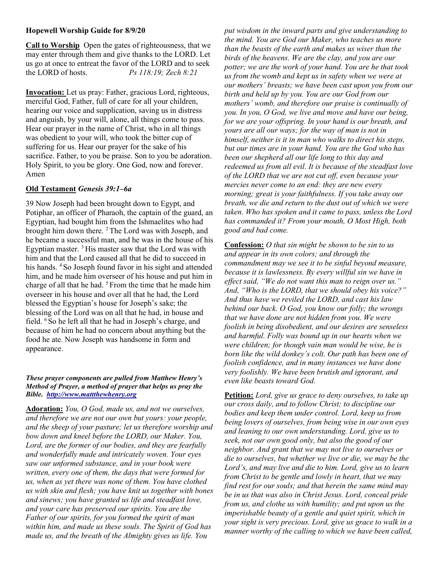## Hopewell Worship Guide for 8/9/20

Call to Worship Open the gates of righteousness, that we may enter through them and give thanks to the LORD. Let us go at once to entreat the favor of the LORD and to seek the LORD of hosts.  $Ps 118:19: Zech 8:21$ 

Invocation: Let us pray: Father, gracious Lord, righteous, merciful God, Father, full of care for all your children, hearing our voice and supplication, saving us in distress and anguish, by your will, alone, all things come to pass. Hear our prayer in the name of Christ, who in all things was obedient to your will, who took the bitter cup of suffering for us. Hear our prayer for the sake of his sacrifice. Father, to you be praise. Son to you be adoration. Holy Spirit, to you be glory. One God, now and forever. Amen

## Old Testament Genesis 39:1–6a

39 Now Joseph had been brought down to Egypt, and Potiphar, an officer of Pharaoh, the captain of the guard, an Egyptian, had bought him from the Ishmaelites who had brought him down there. <sup>2</sup> The Lord was with Joseph, and he became a successful man, and he was in the house of his Egyptian master.  $3$  His master saw that the Lord was with him and that the Lord caused all that he did to succeed in his hands. <sup>4</sup>So Joseph found favor in his sight and attended him, and he made him overseer of his house and put him in charge of all that he had.  $5$  From the time that he made him overseer in his house and over all that he had, the Lord blessed the Egyptian's house for Joseph's sake; the blessing of the Lord was on all that he had, in house and field. <sup>6</sup>So he left all that he had in Joseph's charge, and because of him he had no concern about anything but the food he ate. Now Joseph was handsome in form and appearance.

## These prayer components are pulled from Matthew Henry's Method of Prayer, a method of prayer that helps us pray the Bible. http://www.mattthewhenry.org

Adoration: You, O God, made us, and not we ourselves, and therefore we are not our own but yours: your people, and the sheep of your pasture; let us therefore worship and bow down and kneel before the LORD, our Maker. You, Lord, are the former of our bodies, and they are fearfully and wonderfully made and intricately woven. Your eyes saw our unformed substance, and in your book were written, every one of them, the days that were formed for us, when as yet there was none of them. You have clothed us with skin and flesh; you have knit us together with bones and sinews; you have granted us life and steadfast love, and your care has preserved our spirits. You are the Father of our spirits, for you formed the spirit of man within him, and made us these souls. The Spirit of God has made us, and the breath of the Almighty gives us life. You

put wisdom in the inward parts and give understanding to the mind. You are God our Maker, who teaches us more than the beasts of the earth and makes us wiser than the birds of the heavens. We are the clay, and you are our potter; we are the work of your hand. You are he that took us from the womb and kept us in safety when we were at our mothers' breasts; we have been cast upon you from our birth and held up by you. You are our God from our mothers' womb, and therefore our praise is continually of you. In you, O God, we live and move and have our being, for we are your offspring. In your hand is our breath, and yours are all our ways; for the way of man is not in himself, neither is it in man who walks to direct his steps, but our times are in your hand. You are the God who has been our shepherd all our life long to this day and redeemed us from all evil. It is because of the steadfast love of the LORD that we are not cut off, even because your mercies never come to an end: they are new every morning; great is your faithfulness. If you take away our breath, we die and return to the dust out of which we were taken. Who has spoken and it came to pass, unless the Lord has commanded it? From your mouth, O Most High, both good and bad come.

Confession: *O that sin might be shown to be sin to us* and appear in its own colors; and through the commandment may we see it to be sinful beyond measure, because it is lawlessness. By every willful sin we have in effect said, "We do not want this man to reign over us." And, "Who is the LORD, that we should obey his voice?" And thus have we reviled the LORD, and cast his law behind our back. O God, you know our folly; the wrongs that we have done are not hidden from you. We were foolish in being disobedient, and our desires are senseless and harmful. Folly was bound up in our hearts when we were children; for though vain man would be wise, he is born like the wild donkey's colt. Our path has been one of foolish confidence, and in many instances we have done very foolishly. We have been brutish and ignorant, and even like beasts toward God.

Petition: Lord, give us grace to deny ourselves, to take up our cross daily, and to follow Christ; to discipline our bodies and keep them under control. Lord, keep us from being lovers of ourselves, from being wise in our own eyes and leaning to our own understanding. Lord, give us to seek, not our own good only, but also the good of our neighbor. And grant that we may not live to ourselves or die to ourselves, but whether we live or die, we may be the Lord's, and may live and die to him. Lord, give us to learn from Christ to be gentle and lowly in heart, that we may find rest for our souls; and that herein the same mind may be in us that was also in Christ Jesus. Lord, conceal pride from us, and clothe us with humility; and put upon us the imperishable beauty of a gentle and quiet spirit, which in your sight is very precious. Lord, give us grace to walk in a manner worthy of the calling to which we have been called,